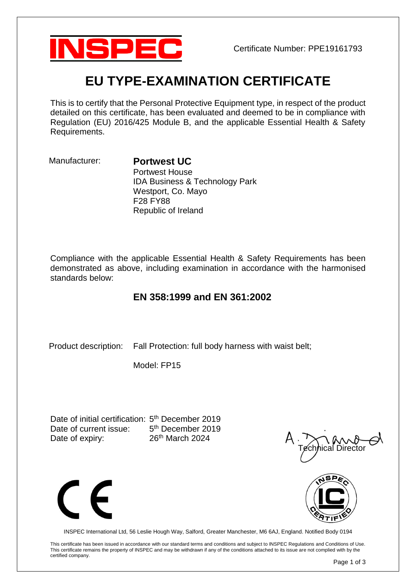

# **EU TYPE-EXAMINATION CERTIFICATE**

This is to certify that the Personal Protective Equipment type, in respect of the product detailed on this certificate, has been evaluated and deemed to be in compliance with Regulation (EU) 2016/425 Module B, and the applicable Essential Health & Safety Requirements.

## Manufacturer: **Portwest UC**

Portwest House IDA Business & Technology Park Westport, Co. Mayo F28 FY88 Republic of Ireland

Compliance with the applicable Essential Health & Safety Requirements has been demonstrated as above, including examination in accordance with the harmonised standards below:

# **EN 358:1999 and EN 361:2002**

Product description: Fall Protection: full body harness with waist belt;

Model: FP15

Date of initial certification: 5<sup>th</sup> December 2019 Date of current issue: 5<sup>th</sup> December 2019 Date of expiry: 26<sup>th</sup> March 2024







INSPEC International Ltd, 56 Leslie Hough Way, Salford, Greater Manchester, M6 6AJ, England. Notified Body 0194

This certificate has been issued in accordance with our standard terms and conditions and subject to INSPEC Regulations and Conditions of Use. This certificate remains the property of INSPEC and may be withdrawn if any of the conditions attached to its issue are not complied with by the certified company.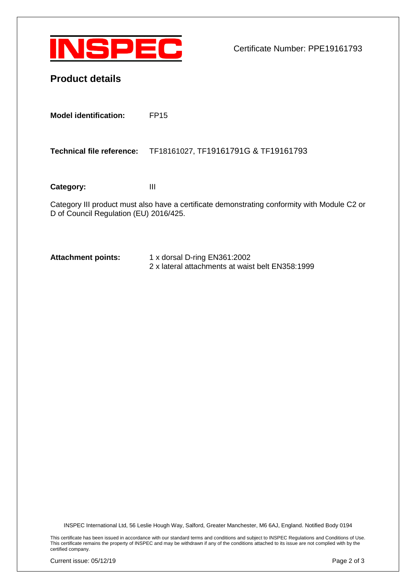

Certificate Number: PPE19161793

| <b>Product details</b> |
|------------------------|
|------------------------|

**Model identification:** FP15

**Technical file reference:** TF18161027, TF19161791G & TF19161793

Category: III

Category III product must also have a certificate demonstrating conformity with Module C2 or D of Council Regulation (EU) 2016/425.

**Attachment points:** 1 x dorsal D-ring EN361:2002 2 x lateral attachments at waist belt EN358:1999

INSPEC International Ltd, 56 Leslie Hough Way, Salford, Greater Manchester, M6 6AJ, England. Notified Body 0194

This certificate has been issued in accordance with our standard terms and conditions and subject to INSPEC Regulations and Conditions of Use. This certificate remains the property of INSPEC and may be withdrawn if any of the conditions attached to its issue are not complied with by the certified company.